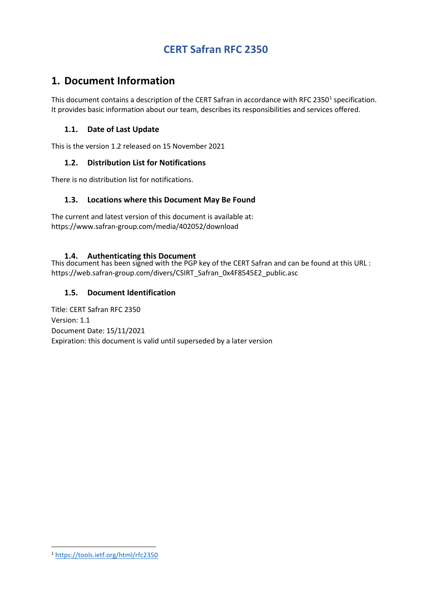# **1. Document Information**

This document contains a description of the CERT Safran in accordance with RFC 2350<sup>[1](#page-0-0)</sup> specification. It provides basic information about our team, describes its responsibilities and services offered.

## **1.1. Date of Last Update**

This is the version 1.2 released on 15 November 2021

#### **1.2. Distribution List for Notifications**

There is no distribution list for notifications.

#### **1.3. Locations where this Document May Be Found**

The current and latest version of this document is available at: https://www.safran-group.com/media/402052/download

**1.4. Authenticating this Document** This document has been signed with the PGP key of the CERT Safran and can be found at this URL : https://web.safran-group.com/divers/CSIRT\_Safran\_0x4F8545E2\_public.asc

## **1.5. Document Identification**

Title: CERT Safran RFC 2350 Version: 1.1 Document Date: 15/11/2021 Expiration: this document is valid until superseded by a later version

 $\overline{a}$ 

<span id="page-0-0"></span><sup>1</sup> <https://tools.ietf.org/html/rfc2350>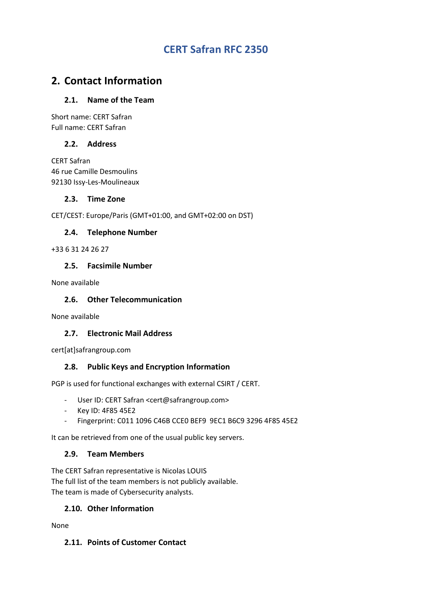# **2. Contact Information**

## **2.1. Name of the Team**

Short name: CERT Safran Full name: CERT Safran

#### **2.2. Address**

CERT Safran 46 rue Camille Desmoulins 92130 Issy-Les-Moulineaux

#### **2.3. Time Zone**

CET/CEST: Europe/Paris (GMT+01:00, and GMT+02:00 on DST)

## **2.4. Telephone Number**

+33 6 31 24 26 27

## **2.5. Facsimile Number**

None available

## **2.6. Other Telecommunication**

None available

## **2.7. Electronic Mail Address**

cert[at]safrangroup.com

## **2.8. Public Keys and Encryption Information**

PGP is used for functional exchanges with external CSIRT / CERT.

- User ID: CERT Safran <cert@safrangroup.com>
- Key ID: 4F85 45E2
- Fingerprint: C011 1096 C46B CCE0 BEF9 9EC1 B6C9 3296 4F85 45E2

It can be retrieved from one of the usual public key servers.

#### **2.9. Team Members**

The CERT Safran representative is Nicolas LOUIS The full list of the team members is not publicly available. The team is made of Cybersecurity analysts.

#### **2.10. Other Information**

None

#### **2.11. Points of Customer Contact**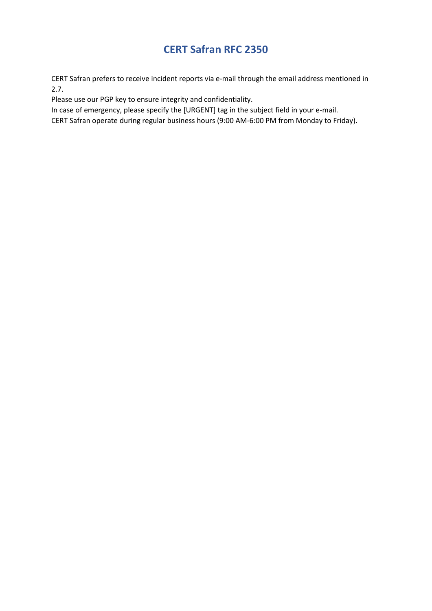CERT Safran prefers to receive incident reports via e-mail through the email address mentioned in 2.7.

Please use our PGP key to ensure integrity and confidentiality.

In case of emergency, please specify the [URGENT] tag in the subject field in your e-mail.

CERT Safran operate during regular business hours (9:00 AM-6:00 PM from Monday to Friday).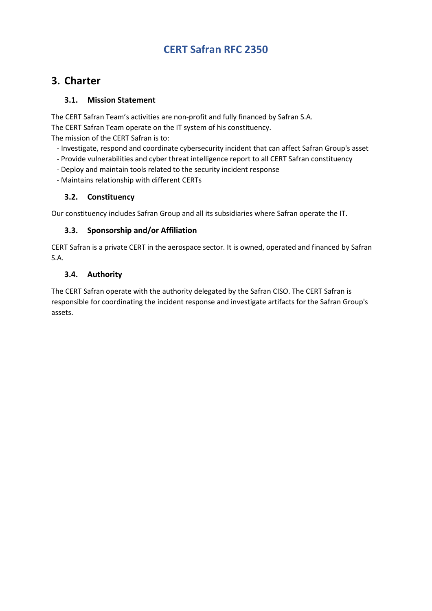# **3. Charter**

## **3.1. Mission Statement**

The CERT Safran Team's activities are non-profit and fully financed by Safran S.A. The CERT Safran Team operate on the IT system of his constituency. The mission of the CERT Safran is to:

- Investigate, respond and coordinate cybersecurity incident that can affect Safran Group's asset
- Provide vulnerabilities and cyber threat intelligence report to all CERT Safran constituency
- Deploy and maintain tools related to the security incident response
- Maintains relationship with different CERTs

## **3.2. Constituency**

Our constituency includes Safran Group and all its subsidiaries where Safran operate the IT.

## **3.3. Sponsorship and/or Affiliation**

CERT Safran is a private CERT in the aerospace sector. It is owned, operated and financed by Safran S.A.

## **3.4. Authority**

The CERT Safran operate with the authority delegated by the Safran CISO. The CERT Safran is responsible for coordinating the incident response and investigate artifacts for the Safran Group's assets.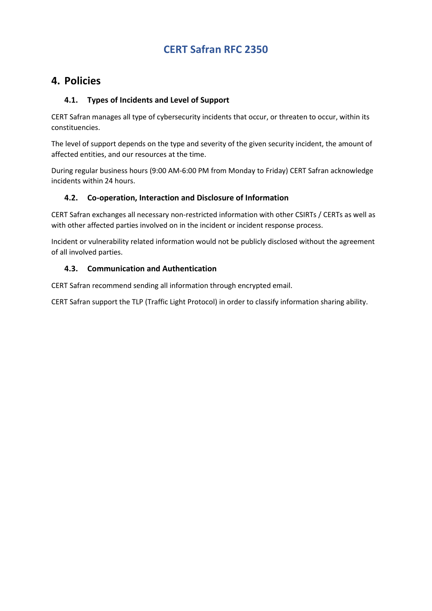# **4. Policies**

## **4.1. Types of Incidents and Level of Support**

CERT Safran manages all type of cybersecurity incidents that occur, or threaten to occur, within its constituencies.

The level of support depends on the type and severity of the given security incident, the amount of affected entities, and our resources at the time.

During regular business hours (9:00 AM-6:00 PM from Monday to Friday) CERT Safran acknowledge incidents within 24 hours.

## **4.2. Co-operation, Interaction and Disclosure of Information**

CERT Safran exchanges all necessary non-restricted information with other CSIRTs / CERTs as well as with other affected parties involved on in the incident or incident response process.

Incident or vulnerability related information would not be publicly disclosed without the agreement of all involved parties.

## **4.3. Communication and Authentication**

CERT Safran recommend sending all information through encrypted email.

CERT Safran support the TLP (Traffic Light Protocol) in order to classify information sharing ability.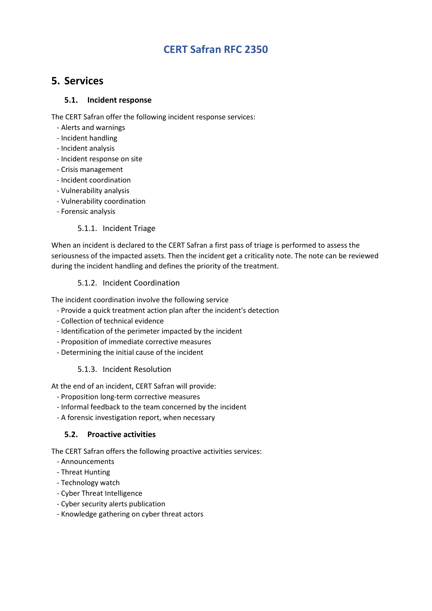# **5. Services**

## **5.1. Incident response**

The CERT Safran offer the following incident response services:

- Alerts and warnings
- Incident handling
- Incident analysis
- Incident response on site
- Crisis management
- Incident coordination
- Vulnerability analysis
- Vulnerability coordination
- Forensic analysis

## 5.1.1. Incident Triage

When an incident is declared to the CERT Safran a first pass of triage is performed to assess the seriousness of the impacted assets. Then the incident get a criticality note. The note can be reviewed during the incident handling and defines the priority of the treatment.

## 5.1.2. Incident Coordination

The incident coordination involve the following service

- Provide a quick treatment action plan after the incident's detection
- Collection of technical evidence
- Identification of the perimeter impacted by the incident
- Proposition of immediate corrective measures
- Determining the initial cause of the incident

## 5.1.3. Incident Resolution

At the end of an incident, CERT Safran will provide:

- Proposition long-term corrective measures
- Informal feedback to the team concerned by the incident
- A forensic investigation report, when necessary

#### **5.2. Proactive activities**

The CERT Safran offers the following proactive activities services:

- Announcements
- Threat Hunting
- Technology watch
- Cyber Threat Intelligence
- Cyber security alerts publication
- Knowledge gathering on cyber threat actors